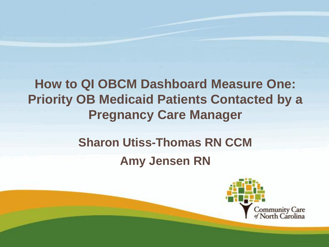### **How to QI OBCM Dashboard Measure One: Priority OB Medicaid Patients Contacted by a Pregnancy Care Manager**

## **Sharon Utiss-Thomas RN CCM Amy Jensen RN**

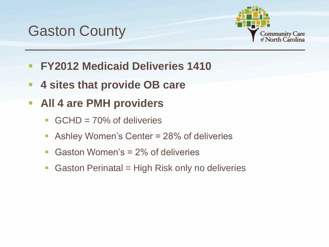### Gaston County



- **FY2012 Medicaid Deliveries 1410**
- **4 sites that provide OB care**
- **All 4 are PMH providers**
	- GCHD =  $70\%$  of deliveries
	- **Ashley Women's Center = 28% of deliveries**
	- Gaston Women's  $= 2\%$  of deliveries
	- Gaston Perinatal = High Risk only no deliveries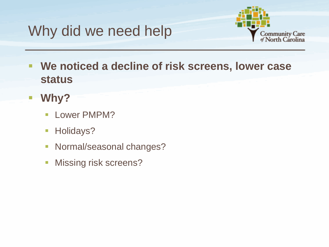# Why did we need help



- **We noticed a decline of risk screens, lower case status**
- **Why?**
	- **Lower PMPM?**
	- **Holidays?**
	- **Normal/seasonal changes?**
	- **Missing risk screens?**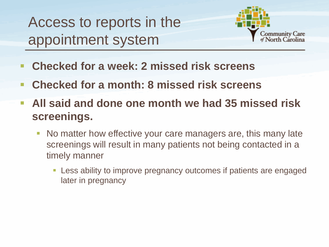Access to reports in the appointment system



- **Checked for a week: 2 missed risk screens**
- **Checked for a month: 8 missed risk screens**
- **All said and done one month we had 35 missed risk screenings.** 
	- No matter how effective your care managers are, this many late screenings will result in many patients not being contacted in a timely manner
		- Less ability to improve pregnancy outcomes if patients are engaged later in pregnancy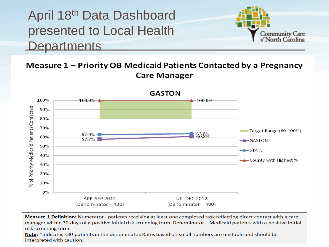### April 18th Data Dashboard presented to Local Health **Departments**



#### Measure 1 – Priority OB Medicaid Patients Contacted by a Pregnancy **Care Manager**



Measure 1 Definition: Numerator - patients receiving at least one completed task reflecting direct contact with a care manager within 30 days of a positive initial risk screening form. Denominator - Medicaid patients with a positive initial risk screening form.

Note: \*indicates <30 patients in the denominator. Rates based on small numbers are unstable and should be interpreted with caution.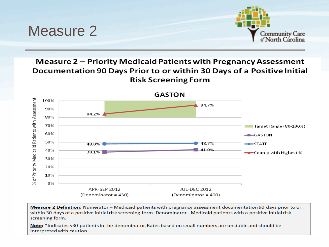

#### Measure 2 - Priority Medicaid Patients with Pregnancy Assessment Documentation 90 Days Prior to or within 30 Days of a Positive Initial **Risk Screening Form**

**Measure 2** 



Measure 2 Definition: Numerator - Medicaid patients with pregnancy assessment documentation 90 days prior to or within 30 days of a positive initial risk screening form. Denominator - Medicaid patients with a positive initial risk screening form.

Note: \*indicates <30 patients in the denominator. Rates based on small numbers are unstable and should be interpreted with caution.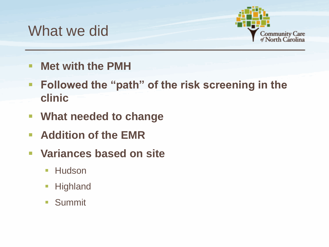### What we did



- **F** Met with the PMH
- **Followed the "path" of the risk screening in the clinic**
- **What needed to change**
- **Addition of the EMR**
- **Variances based on site**
	- **Hudson**
	- **Highland**
	- Summit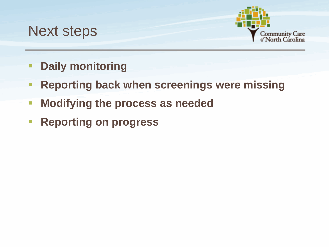



- **Paily monitoring**
- **Reporting back when screenings were missing**
- **Modifying the process as needed**
- **Reporting on progress**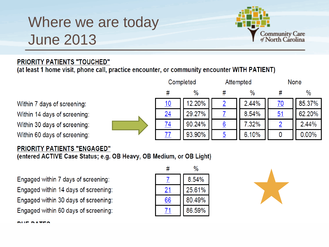# Where we are today **June 2013**



#### **PRIORITY PATIENTS "TOUCHED"**

(at least 1 home visit, phone call, practice encounter, or community encounter WITH PATIENT)

|                              | Completed |               | Attempted       |               | None      |               |
|------------------------------|-----------|---------------|-----------------|---------------|-----------|---------------|
|                              | #         | $\frac{0}{0}$ |                 | $\frac{0}{0}$ |           | $\frac{0}{0}$ |
| Within 7 days of screening:  |           | 12.20%        |                 | 2.44%         | <u>70</u> | 85.37%        |
| Within 14 days of screening: | <u>24</u> | 29.27%        |                 | 8.54%         | <u>51</u> | 62.20%        |
| Within 30 days of screening: | 74        | 90.24%        | $\underline{6}$ | $7.32\%$      |           | 2.44%         |
| Within 60 days of screening: |           | 93.90%        | 5               | 6.10%         |           | $0.00\%$      |

#### **PRIORITY PATIENTS "ENGAGED"**

(entered ACTIVE Case Status; e.g. OB Heavy, OB Medium, or OB Light)

Engaged within 7 days of screening: Engaged within 14 days of screening: Engaged within 30 days of screening: Engaged within 60 days of screening:

| #              | %      |  |  |
|----------------|--------|--|--|
|                | 8.54%  |  |  |
| $\overline{2}$ | 25.61% |  |  |
| 66             | 80.49% |  |  |
|                | 86.59% |  |  |

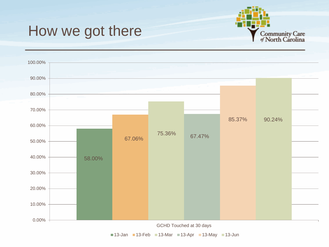

### How we got there



13-Jan 13-Feb 13-Mar 13-Apr 13-May 13-Jun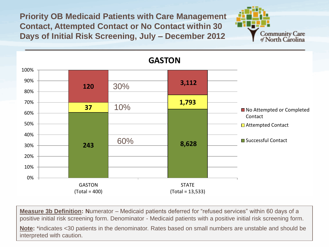**Priority OB Medicaid Patients with Care Management Contact, Attempted Contact or No Contact within 30 Days of Initial Risk Screening, July – December 2012**





**Measure 3b Definition: N**umerator – Medicaid patients deferred for "refused services" within 60 days of a positive initial risk screening form. Denominator - Medicaid patients with a positive initial risk screening form.

**Note:** \*indicates <30 patients in the denominator. Rates based on small numbers are unstable and should be interpreted with caution.